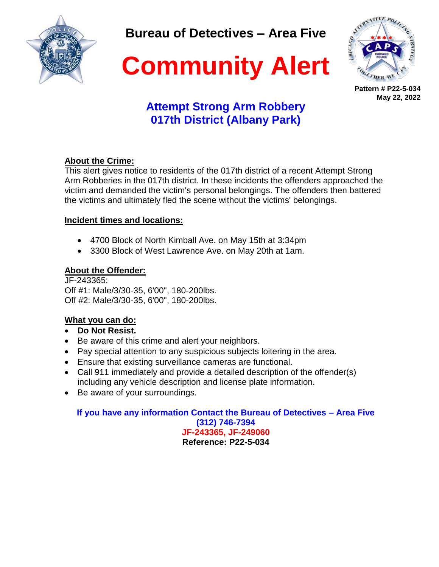

**Bureau of Detectives – Area Five**



**Community Alert**

**Pattern # P22-5-034 May 22, 2022**

# **Attempt Strong Arm Robbery 017th District (Albany Park)**

### **About the Crime:**

This alert gives notice to residents of the 017th district of a recent Attempt Strong Arm Robberies in the 017th district. In these incidents the offenders approached the victim and demanded the victim's personal belongings. The offenders then battered the victims and ultimately fled the scene without the victims' belongings.

### **Incident times and locations:**

- 4700 Block of North Kimball Ave. on May 15th at 3:34pm
- 3300 Block of West Lawrence Ave. on May 20th at 1am.

### **About the Offender:**

JF-243365: Off #1: Male/3/30-35, 6'00", 180-200lbs. Off #2: Male/3/30-35, 6'00", 180-200lbs.

## **What you can do:**

- **Do Not Resist.**
- Be aware of this crime and alert your neighbors.
- Pay special attention to any suspicious subjects loitering in the area.
- Ensure that existing surveillance cameras are functional.
- Call 911 immediately and provide a detailed description of the offender(s) including any vehicle description and license plate information.
- Be aware of your surroundings.

**If you have any information Contact the Bureau of Detectives – Area Five (312) 746-7394 JF-243365, JF-249060 Reference: P22-5-034**